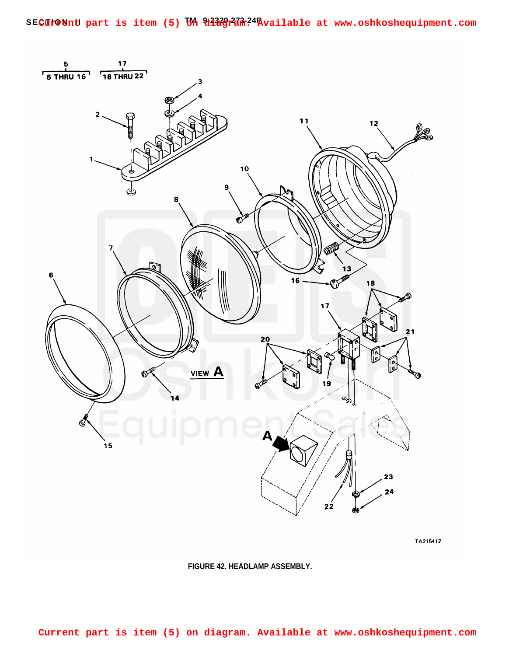

TA215412

**FIGURE 42. HEADLAMP ASSEMBLY.**